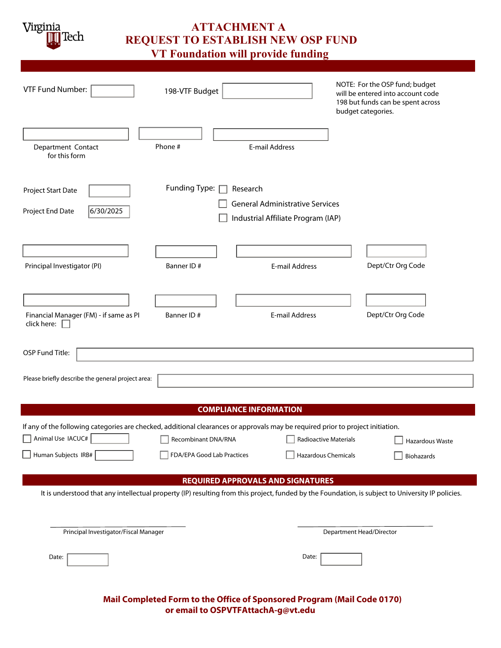Virginia Tech

# **ATTACHMENT A REQUEST TO ESTABLISH NEW OSP FUND**

 **VT Foundation will provide funding**

| VTF Fund Number:                                                                                                                | 198-VTF Budget                                                                                                                                    | budget categories.                                                           | NOTE: For the OSP fund; budget<br>will be entered into account code<br>198 but funds can be spent across |  |
|---------------------------------------------------------------------------------------------------------------------------------|---------------------------------------------------------------------------------------------------------------------------------------------------|------------------------------------------------------------------------------|----------------------------------------------------------------------------------------------------------|--|
| Department Contact<br>for this form                                                                                             | Phone #                                                                                                                                           | <b>E-mail Address</b>                                                        |                                                                                                          |  |
| Project Start Date<br>6/30/2025<br>Project End Date                                                                             | Funding Type: $\Box$<br>Research                                                                                                                  | <b>General Administrative Services</b><br>Industrial Affiliate Program (IAP) |                                                                                                          |  |
| Principal Investigator (PI)                                                                                                     | Banner ID#                                                                                                                                        | <b>E-mail Address</b>                                                        | Dept/Ctr Org Code                                                                                        |  |
| Financial Manager (FM) - if same as PI<br>click here: $\square$                                                                 | Banner ID#                                                                                                                                        | E-mail Address                                                               | Dept/Ctr Org Code                                                                                        |  |
| OSP Fund Title:                                                                                                                 |                                                                                                                                                   |                                                                              |                                                                                                          |  |
| Please briefly describe the general project area:                                                                               |                                                                                                                                                   |                                                                              |                                                                                                          |  |
| <b>COMPLIANCE INFORMATION</b>                                                                                                   |                                                                                                                                                   |                                                                              |                                                                                                          |  |
| If any of the following categories are checked, additional clearances or approvals may be required prior to project initiation. |                                                                                                                                                   |                                                                              |                                                                                                          |  |
| Animal Use IACUC#                                                                                                               | $\overline{\phantom{a}}$<br>Recombinant DNA/RNA                                                                                                   | Radioactive Materials                                                        | Hazardous Waste                                                                                          |  |
| Human Subjects IRB#                                                                                                             | FDA/EPA Good Lab Practices                                                                                                                        | Hazardous Chemicals                                                          | <b>Biohazards</b>                                                                                        |  |
|                                                                                                                                 | <b>REQUIRED APPROVALS AND SIGNATURES</b>                                                                                                          |                                                                              |                                                                                                          |  |
|                                                                                                                                 | It is understood that any intellectual property (IP) resulting from this project, funded by the Foundation, is subject to University IP policies. |                                                                              |                                                                                                          |  |
| Principal Investigator/Fiscal Manager                                                                                           |                                                                                                                                                   |                                                                              | Department Head/Director                                                                                 |  |
| Date:                                                                                                                           |                                                                                                                                                   | Date:                                                                        |                                                                                                          |  |

 **Mail Completed Form to the Office of Sponsored Program (Mail Code 0170) or email to OSPVTFAttachA-g@vt.edu**